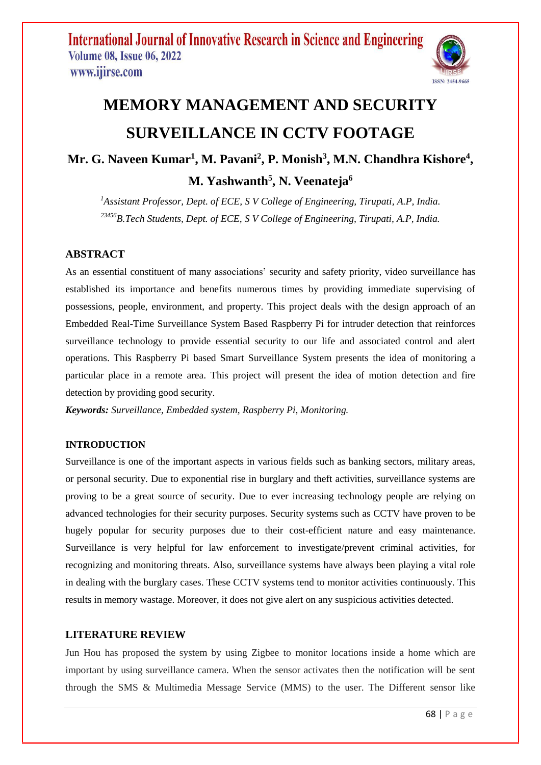

# **MEMORY MANAGEMENT AND SECURITY SURVEILLANCE IN CCTV FOOTAGE**

# **Mr. G. Naveen Kumar<sup>1</sup> , M. Pavani<sup>2</sup> , P. Monish<sup>3</sup> , M.N. Chandhra Kishore<sup>4</sup> ,**

**M. Yashwanth<sup>5</sup> , N. Veenateja<sup>6</sup>**

*<sup>1</sup>Assistant Professor, Dept. of ECE, S V College of Engineering, Tirupati, A.P, India. <sup>23456</sup>B.Tech Students, Dept. of ECE, S V College of Engineering, Tirupati, A.P, India.*

# **ABSTRACT**

As an essential constituent of many associations' security and safety priority, video surveillance has established its importance and benefits numerous times by providing immediate supervising of possessions, people, environment, and property. This project deals with the design approach of an Embedded Real-Time Surveillance System Based Raspberry Pi for intruder detection that reinforces surveillance technology to provide essential security to our life and associated control and alert operations. This Raspberry Pi based Smart Surveillance System presents the idea of monitoring a particular place in a remote area. This project will present the idea of motion detection and fire detection by providing good security.

*Keywords: Surveillance, Embedded system, Raspberry Pi, Monitoring.*

#### **INTRODUCTION**

Surveillance is one of the important aspects in various fields such as banking sectors, military areas, or personal security. Due to exponential rise in burglary and theft activities, surveillance systems are proving to be a great source of security. Due to ever increasing technology people are relying on advanced technologies for their security purposes. Security systems such as CCTV have proven to be hugely popular for security purposes due to their cost-efficient nature and easy maintenance. Surveillance is very helpful for law enforcement to investigate/prevent criminal activities, for recognizing and monitoring threats. Also, surveillance systems have always been playing a vital role in dealing with the burglary cases. These CCTV systems tend to monitor activities continuously. This results in memory wastage. Moreover, it does not give alert on any suspicious activities detected.

### **LITERATURE REVIEW**

Jun Hou has proposed the system by using Zigbee to monitor locations inside a home which are important by using surveillance camera. When the sensor activates then the notification will be sent through the SMS & Multimedia Message Service (MMS) to the user. The Different sensor like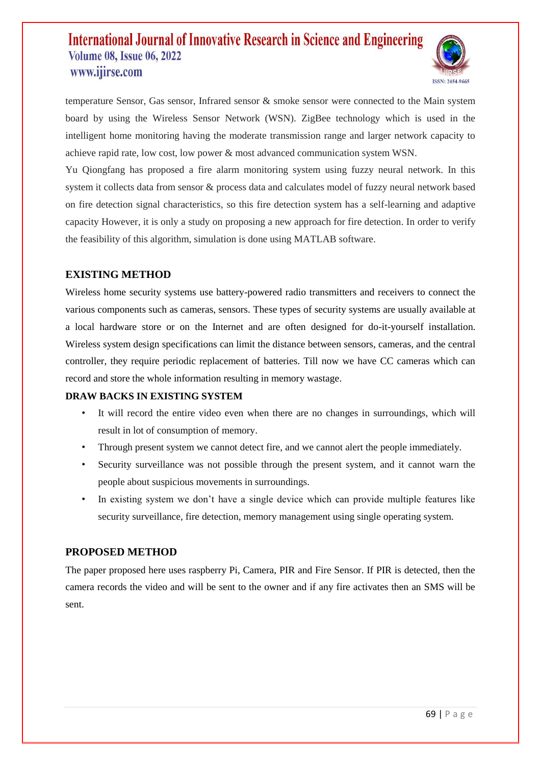

temperature Sensor, Gas sensor, Infrared sensor & smoke sensor were connected to the Main system board by using the Wireless Sensor Network (WSN). ZigBee technology which is used in the intelligent home monitoring having the moderate transmission range and larger network capacity to achieve rapid rate, low cost, low power & most advanced communication system WSN.

Yu Qiongfang has proposed a fire alarm monitoring system using fuzzy neural network. In this system it collects data from sensor & process data and calculates model of fuzzy neural network based on fire detection signal characteristics, so this fire detection system has a self-learning and adaptive capacity However, it is only a study on proposing a new approach for fire detection. In order to verify the feasibility of this algorithm, simulation is done using MATLAB software.

## **EXISTING METHOD**

Wireless home security systems use battery-powered radio transmitters and receivers to connect the various components such as cameras, sensors. These types of security systems are usually available at a local hardware store or on the Internet and are often designed for do-it-yourself installation. Wireless system design specifications can limit the distance between sensors, cameras, and the central controller, they require periodic replacement of batteries. Till now we have CC cameras which can record and store the whole information resulting in memory wastage.

#### **DRAW BACKS IN EXISTING SYSTEM**

- It will record the entire video even when there are no changes in surroundings, which will result in lot of consumption of memory.
- Through present system we cannot detect fire, and we cannot alert the people immediately.
- Security surveillance was not possible through the present system, and it cannot warn the people about suspicious movements in surroundings.
- In existing system we don't have a single device which can provide multiple features like security surveillance, fire detection, memory management using single operating system.

### **PROPOSED METHOD**

The paper proposed here uses raspberry Pi, Camera, PIR and Fire Sensor. If PIR is detected, then the camera records the video and will be sent to the owner and if any fire activates then an SMS will be sent.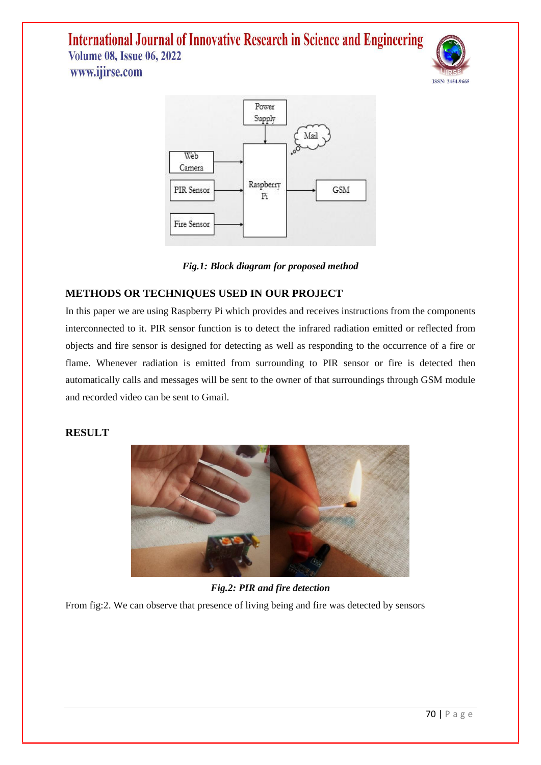





# **METHODS OR TECHNIQUES USED IN OUR PROJECT**

In this paper we are using Raspberry Pi which provides and receives instructions from the components interconnected to it. PIR sensor function is to detect the infrared radiation emitted or reflected from objects and fire sensor is designed for detecting as well as responding to the occurrence of a fire or flame. Whenever radiation is emitted from surrounding to PIR sensor or fire is detected then automatically calls and messages will be sent to the owner of that surroundings through GSM module and recorded video can be sent to Gmail.

### **RESULT**



# *Fig.2: PIR and fire detection*

From fig:2. We can observe that presence of living being and fire was detected by sensors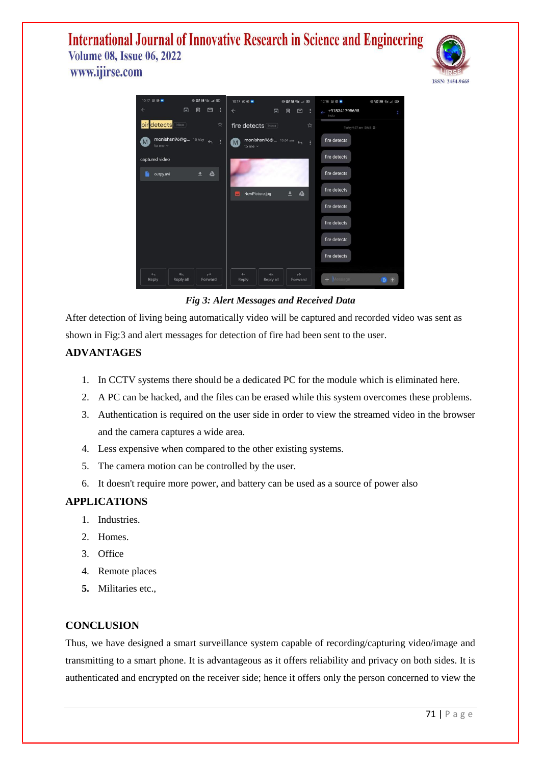



#### *Fig 3: Alert Messages and Received Data*

After detection of living being automatically video will be captured and recorded video was sent as shown in Fig:3 and alert messages for detection of fire had been sent to the user.

## **ADVANTAGES**

- 1. In CCTV systems there should be a dedicated PC for the module which is eliminated here.
- 2. A PC can be hacked, and the files can be erased while this system overcomes these problems.
- 3. Authentication is required on the user side in order to view the streamed video in the browser and the camera captures a wide area.
- 4. Less expensive when compared to the other existing systems.
- 5. The camera motion can be controlled by the user.
- 6. It doesn't require more power, and battery can be used as a source of power also

#### **APPLICATIONS**

- 1. Industries.
- 2. Homes.
- 3. Office
- 4. Remote places
- **5.** Militaries etc.,

#### **CONCLUSION**

Thus, we have designed a smart surveillance system capable of recording/capturing video/image and transmitting to a smart phone. It is advantageous as it offers reliability and privacy on both sides. It is authenticated and encrypted on the receiver side; hence it offers only the person concerned to view the